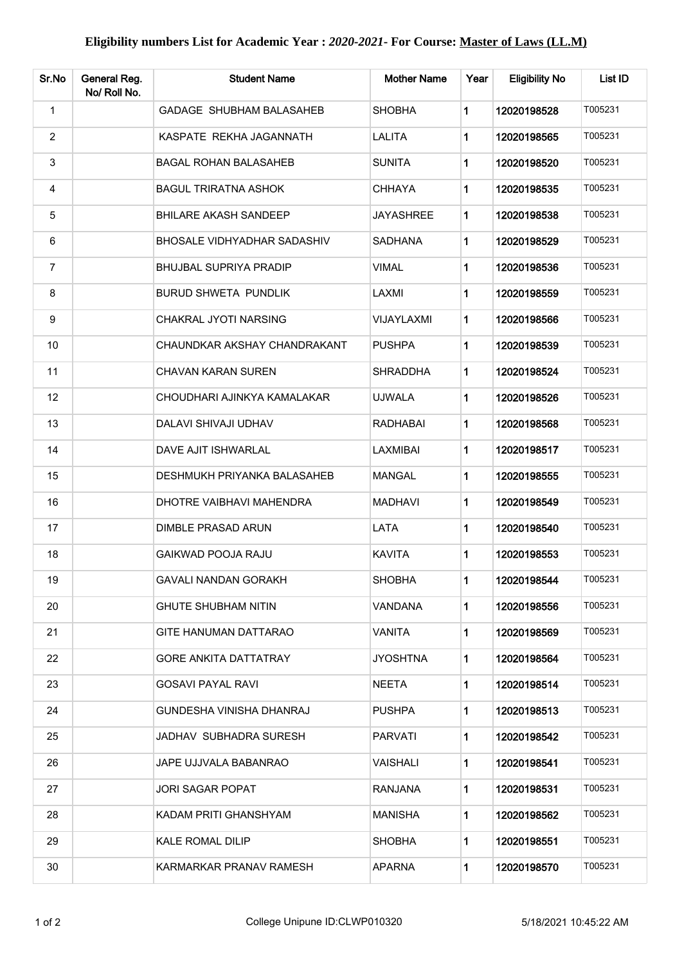| Sr.No          | General Reg.<br>No/ Roll No. | <b>Student Name</b>             | <b>Mother Name</b> | Year        | <b>Eligibility No</b> | List ID |
|----------------|------------------------------|---------------------------------|--------------------|-------------|-----------------------|---------|
| 1              |                              | <b>GADAGE SHUBHAM BALASAHEB</b> | <b>SHOBHA</b>      | 1           | 12020198528           | T005231 |
| $\overline{2}$ |                              | KASPATE REKHA JAGANNATH         | <b>LALITA</b>      | 1           | 12020198565           | T005231 |
| 3              |                              | <b>BAGAL ROHAN BALASAHEB</b>    | <b>SUNITA</b>      | 1           | 12020198520           | T005231 |
| 4              |                              | <b>BAGUL TRIRATNA ASHOK</b>     | <b>CHHAYA</b>      | 1           | 12020198535           | T005231 |
| 5              |                              | <b>BHILARE AKASH SANDEEP</b>    | <b>JAYASHREE</b>   | $\mathbf 1$ | 12020198538           | T005231 |
| 6              |                              | BHOSALE VIDHYADHAR SADASHIV     | <b>SADHANA</b>     | 1           | 12020198529           | T005231 |
| $\overline{7}$ |                              | <b>BHUJBAL SUPRIYA PRADIP</b>   | <b>VIMAL</b>       | 1           | 12020198536           | T005231 |
| 8              |                              | <b>BURUD SHWETA PUNDLIK</b>     | LAXMI              | 1           | 12020198559           | T005231 |
| 9              |                              | CHAKRAL JYOTI NARSING           | <b>VIJAYLAXMI</b>  | 1           | 12020198566           | T005231 |
| 10             |                              | CHAUNDKAR AKSHAY CHANDRAKANT    | <b>PUSHPA</b>      | 1           | 12020198539           | T005231 |
| 11             |                              | CHAVAN KARAN SUREN              | SHRADDHA           | 1           | 12020198524           | T005231 |
| 12             |                              | CHOUDHARI AJINKYA KAMALAKAR     | <b>UJWALA</b>      | 1           | 12020198526           | T005231 |
| 13             |                              | DALAVI SHIVAJI UDHAV            | <b>RADHABAI</b>    | 1           | 12020198568           | T005231 |
| 14             |                              | DAVE AJIT ISHWARLAL             | LAXMIBAI           | 1           | 12020198517           | T005231 |
| 15             |                              | DESHMUKH PRIYANKA BALASAHEB     | <b>MANGAL</b>      | 1           | 12020198555           | T005231 |
| 16             |                              | DHOTRE VAIBHAVI MAHENDRA        | <b>MADHAVI</b>     | 1           | 12020198549           | T005231 |
| 17             |                              | DIMBLE PRASAD ARUN              | LATA               | 1           | 12020198540           | T005231 |
| 18             |                              | <b>GAIKWAD POOJA RAJU</b>       | <b>KAVITA</b>      | 1           | 12020198553           | T005231 |
| 19             |                              | <b>GAVALI NANDAN GORAKH</b>     | <b>SHOBHA</b>      |             | 12020198544           | T005231 |
| 20             |                              | <b>GHUTE SHUBHAM NITIN</b>      | VANDANA            | 1           | 12020198556           | T005231 |
| 21             |                              | GITE HANUMAN DATTARAO           | <b>VANITA</b>      | 1           | 12020198569           | T005231 |
| 22             |                              | <b>GORE ANKITA DATTATRAY</b>    | <b>JYOSHTNA</b>    | 1           | 12020198564           | T005231 |
| 23             |                              | <b>GOSAVI PAYAL RAVI</b>        | <b>NEETA</b>       | 1           | 12020198514           | T005231 |
| 24             |                              | GUNDESHA VINISHA DHANRAJ        | <b>PUSHPA</b>      | $\mathbf 1$ | 12020198513           | T005231 |
| 25             |                              | JADHAV SUBHADRA SURESH          | <b>PARVATI</b>     | 1           | 12020198542           | T005231 |
| 26             |                              | JAPE UJJVALA BABANRAO           | <b>VAISHALI</b>    | 1           | 12020198541           | T005231 |
| 27             |                              | JORI SAGAR POPAT                | <b>RANJANA</b>     | 1           | 12020198531           | T005231 |
| 28             |                              | KADAM PRITI GHANSHYAM           | <b>MANISHA</b>     | 1           | 12020198562           | T005231 |
| 29             |                              | <b>KALE ROMAL DILIP</b>         | <b>SHOBHA</b>      | 1           | 12020198551           | T005231 |
| 30             |                              | KARMARKAR PRANAV RAMESH         | <b>APARNA</b>      | 1           | 12020198570           | T005231 |